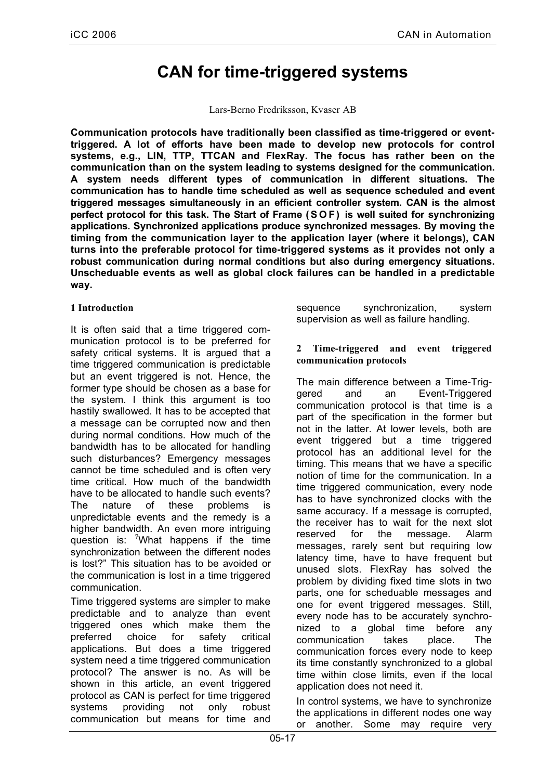# **CAN for time-triggered systems**

Lars-Berno Fredriksson, Kvaser AB

**Communication protocols have traditionally been classified as time-triggered or eventtriggered. A lot of efforts have been made to develop new protocols for control systems, e.g., LIN, TTP, TTCAN and FlexRay. The focus has rather been on the communication than on the system leading to systems designed for the communication. A system needs different types of communication in different situations. The communication has to handle time scheduled as well as sequence scheduled and event triggered messages simultaneously in an efficient controller system. CAN is the almost perfect protocol for this task. The Start of Frame (S O F) is well suited for synchronizing applications. Synchronized applications produce synchronized messages. By moving the timing from the communication layer to the application layer (where it belongs), CAN turns into the preferable protocol for time-triggered systems as it provides not only a robust communication during normal conditions but also during emergency situations. Unscheduable events as well as global clock failures can be handled in a predictable way.**

## **1 Introduction**

It is often said that a time triggered communication protocol is to be preferred for safety critical systems. It is argued that a time triggered communication is predictable but an event triggered is not. Hence, the former type should be chosen as a base for the system. I think this argument is too hastily swallowed. It has to be accepted that a message can be corrupted now and then during normal conditions. How much of the bandwidth has to be allocated for handling such disturbances? Emergency messages cannot be time scheduled and is often very time critical. How much of the bandwidth have to be allocated to handle such events? The nature of these problems is unpredictable events and the remedy is a higher bandwidth. An even more intriguing question is: <sup>?</sup>What happens if the time synchronization between the different nodes is lost?" This situation has to be avoided or the communication is lost in a time triggered communication.

Time triggered systems are simpler to make predictable and to analyze than event triggered ones which make them the preferred choice for safety critical applications. But does a time triggered system need a time triggered communication protocol? The answer is no. As will be shown in this article, an event triggered protocol as CAN is perfect for time triggered systems providing not only robust communication but means for time and

sequence synchronization, system supervision as well as failure handling.

## **2 Time-triggered and event triggered communication protocols**

The main difference between a Time-Triggered and an Event-Triggered communication protocol is that time is a part of the specification in the former but not in the latter. At lower levels, both are event triggered but a time triggered protocol has an additional level for the timing. This means that we have a specific notion of time for the communication. In a time triggered communication, every node has to have synchronized clocks with the same accuracy. If a message is corrupted, the receiver has to wait for the next slot reserved for the message. Alarm messages, rarely sent but requiring low latency time, have to have frequent but unused slots. FlexRay has solved the problem by dividing fixed time slots in two parts, one for scheduable messages and one for event triggered messages. Still, every node has to be accurately synchronized to a global time before any communication takes place. The communication forces every node to keep its time constantly synchronized to a global time within close limits, even if the local application does not need it.

In control systems, we have to synchronize the applications in different nodes one way or another. Some may require very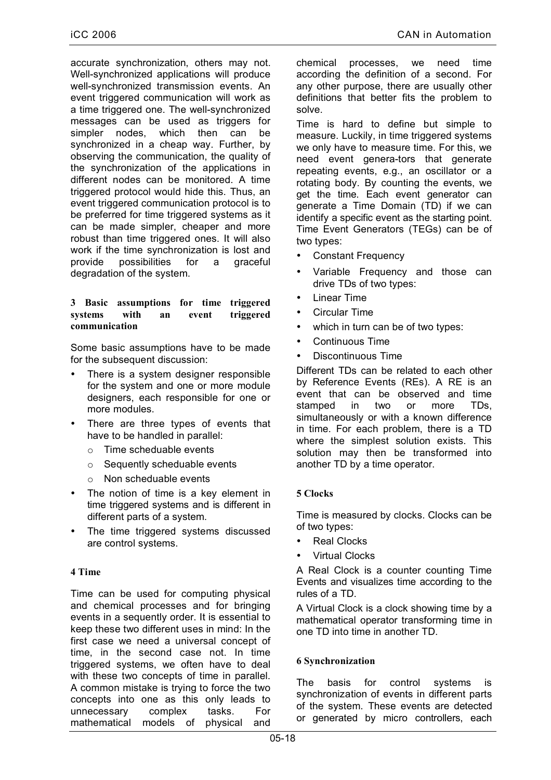accurate synchronization, others may not. Well-synchronized applications will produce well-synchronized transmission events. An event triggered communication will work as a time triggered one. The well-synchronized messages can be used as triggers for simpler nodes, which then can be synchronized in a cheap way. Further, by observing the communication, the quality of the synchronization of the applications in different nodes can be monitored. A time triggered protocol would hide this. Thus, an event triggered communication protocol is to be preferred for time triggered systems as it can be made simpler, cheaper and more robust than time triggered ones. It will also work if the time synchronization is lost and provide possibilities for a graceful degradation of the system.

#### **3 Basic assumptions for time triggered systems with an event triggered communication**

Some basic assumptions have to be made for the subsequent discussion:

- There is a system designer responsible for the system and one or more module designers, each responsible for one or more modules.
- There are three types of events that have to be handled in parallel:
	- o Time scheduable events
	- o Sequently scheduable events
	- o Non scheduable events
- The notion of time is a key element in time triggered systems and is different in different parts of a system.
- The time triggered systems discussed are control systems.

### **4 Time**

Time can be used for computing physical and chemical processes and for bringing events in a sequently order. It is essential to keep these two different uses in mind: In the first case we need a universal concept of time, in the second case not. In time triggered systems, we often have to deal with these two concepts of time in parallel. A common mistake is trying to force the two concepts into one as this only leads to unnecessary complex tasks. For mathematical models of physical and

chemical processes, we need time according the definition of a second. For any other purpose, there are usually other definitions that better fits the problem to solve.

Time is hard to define but simple to measure. Luckily, in time triggered systems we only have to measure time. For this, we need event genera-tors that generate repeating events, e.g., an oscillator or a rotating body. By counting the events, we get the time. Each event generator can generate a Time Domain (TD) if we can identify a specific event as the starting point. Time Event Generators (TEGs) can be of two types:

- Constant Frequency
- Variable Frequency and those can drive TDs of two types:
- **Linear Time**
- Circular Time
- which in turn can be of two types:
- Continuous Time
- Discontinuous Time

Different TDs can be related to each other by Reference Events (REs). A RE is an event that can be observed and time stamped in two or more TDs, simultaneously or with a known difference in time. For each problem, there is a TD where the simplest solution exists. This solution may then be transformed into another TD by a time operator.

## **5 Clocks**

Time is measured by clocks. Clocks can be of two types:

- **Real Clocks**
- Virtual Clocks

A Real Clock is a counter counting Time Events and visualizes time according to the rules of a TD.

A Virtual Clock is a clock showing time by a mathematical operator transforming time in one TD into time in another TD.

### **6 Synchronization**

The basis for control systems is synchronization of events in different parts of the system. These events are detected or generated by micro controllers, each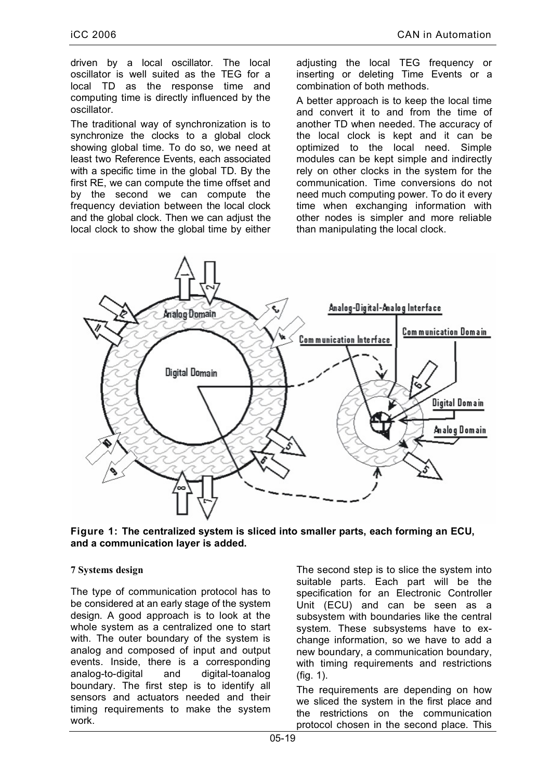driven by a local oscillator. The local oscillator is well suited as the TEG for a local TD as the response time and computing time is directly influenced by the oscillator.

The traditional way of synchronization is to synchronize the clocks to a global clock showing global time. To do so, we need at least two Reference Events, each associated with a specific time in the global TD. By the first RE, we can compute the time offset and by the second we can compute the frequency deviation between the local clock and the global clock. Then we can adjust the local clock to show the global time by either

adjusting the local TEG frequency or inserting or deleting Time Events or a combination of both methods.

A better approach is to keep the local time and convert it to and from the time of another TD when needed. The accuracy of the local clock is kept and it can be optimized to the local need. Simple modules can be kept simple and indirectly rely on other clocks in the system for the communication. Time conversions do not need much computing power. To do it every time when exchanging information with other nodes is simpler and more reliable than manipulating the local clock.



**Figure 1: The centralized system is sliced into smaller parts, each forming an ECU, and a communication layer is added.**

### **7 Systems design**

The type of communication protocol has to be considered at an early stage of the system design. A good approach is to look at the whole system as a centralized one to start with. The outer boundary of the system is analog and composed of input and output events. Inside, there is a corresponding analog-to-digital and digital-toanalog boundary. The first step is to identify all sensors and actuators needed and their timing requirements to make the system work.

The second step is to slice the system into suitable parts. Each part will be the specification for an Electronic Controller Unit (ECU) and can be seen as a subsystem with boundaries like the central system. These subsystems have to exchange information, so we have to add a new boundary, a communication boundary, with timing requirements and restrictions (fig. 1).

The requirements are depending on how we sliced the system in the first place and the restrictions on the communication protocol chosen in the second place. This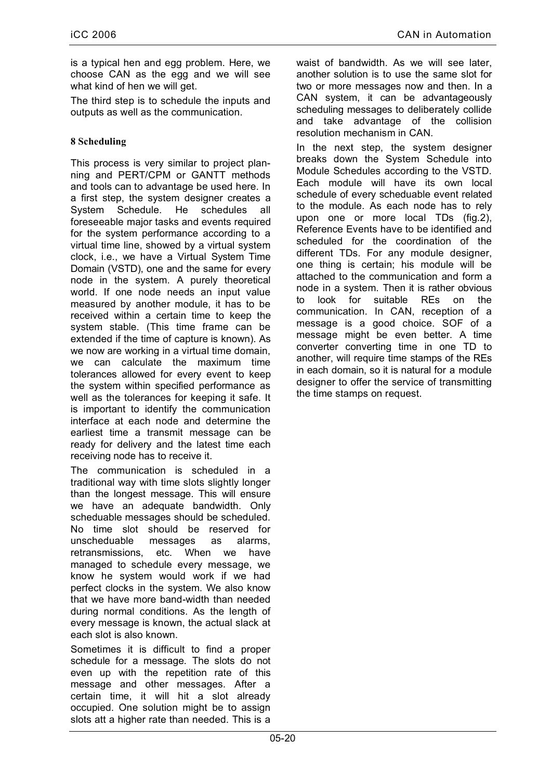is a typical hen and egg problem. Here, we choose CAN as the egg and we will see what kind of hen we will get.

The third step is to schedule the inputs and outputs as well as the communication.

# **8 Scheduling**

This process is very similar to project planning and PERT/CPM or GANTT methods and tools can to advantage be used here. In a first step, the system designer creates a System Schedule. He schedules all foreseeable major tasks and events required for the system performance according to a virtual time line, showed by a virtual system clock, i.e., we have a Virtual System Time Domain (VSTD), one and the same for every node in the system. A purely theoretical world. If one node needs an input value measured by another module, it has to be received within a certain time to keep the system stable. (This time frame can be extended if the time of capture is known). As we now are working in a virtual time domain, we can calculate the maximum time tolerances allowed for every event to keep the system within specified performance as well as the tolerances for keeping it safe. It is important to identify the communication interface at each node and determine the earliest time a transmit message can be ready for delivery and the latest time each receiving node has to receive it.

The communication is scheduled in a traditional way with time slots slightly longer than the longest message. This will ensure we have an adequate bandwidth. Only scheduable messages should be scheduled. No time slot should be reserved for unscheduable messages as alarms, retransmissions, etc. When we have managed to schedule every message, we know he system would work if we had perfect clocks in the system. We also know that we have more band-width than needed during normal conditions. As the length of every message is known, the actual slack at each slot is also known.

Sometimes it is difficult to find a proper schedule for a message. The slots do not even up with the repetition rate of this message and other messages. After a certain time, it will hit a slot already occupied. One solution might be to assign slots att a higher rate than needed. This is a

waist of bandwidth. As we will see later, another solution is to use the same slot for two or more messages now and then. In a CAN system, it can be advantageously scheduling messages to deliberately collide and take advantage of the collision resolution mechanism in CAN.

In the next step, the system designer breaks down the System Schedule into Module Schedules according to the VSTD. Each module will have its own local schedule of every scheduable event related to the module. As each node has to rely upon one or more local TDs (fig.2), Reference Events have to be identified and scheduled for the coordination of the different TDs. For any module designer, one thing is certain; his module will be attached to the communication and form a node in a system. Then it is rather obvious to look for suitable REs on the communication. In CAN, reception of a message is a good choice. SOF of a message might be even better. A time converter converting time in one TD to another, will require time stamps of the REs in each domain, so it is natural for a module designer to offer the service of transmitting the time stamps on request.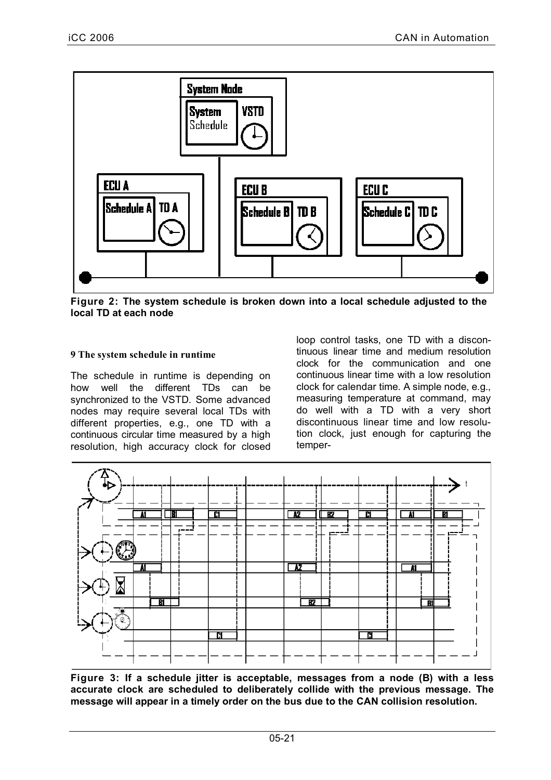

**Figure 2: The system schedule is broken down into a local schedule adjusted to the local TD at each node**

## **9 The system schedule in runtime**

The schedule in runtime is depending on how well the different TDs can be synchronized to the VSTD. Some advanced nodes may require several local TDs with different properties, e.g., one TD with a continuous circular time measured by a high resolution, high accuracy clock for closed loop control tasks, one TD with a discontinuous linear time and medium resolution clock for the communication and one continuous linear time with a low resolution clock for calendar time. A simple node, e.g., measuring temperature at command, may do well with a TD with a very short discontinuous linear time and low resolution clock, just enough for capturing the temper-



**Figure 3: If a schedule jitter is acceptable, messages from a node (B) with a less accurate clock are scheduled to deliberately collide with the previous message. The message will appear in a timely order on the bus due to the CAN collision resolution.**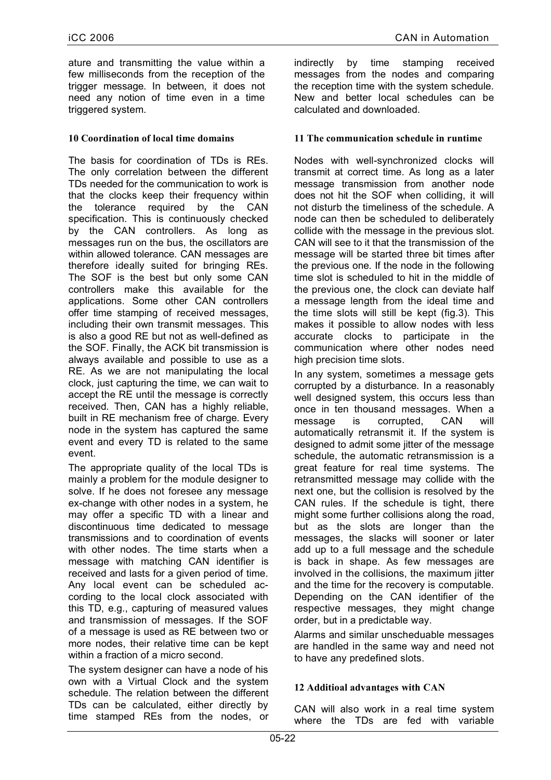ature and transmitting the value within a few milliseconds from the reception of the trigger message. In between, it does not need any notion of time even in a time triggered system.

## **10 Coordination of local time domains**

The basis for coordination of TDs is REs. The only correlation between the different TDs needed for the communication to work is that the clocks keep their frequency within the tolerance required by the CAN specification. This is continuously checked by the CAN controllers. As long as messages run on the bus, the oscillators are within allowed tolerance. CAN messages are therefore ideally suited for bringing REs. The SOF is the best but only some CAN controllers make this available for the applications. Some other CAN controllers offer time stamping of received messages, including their own transmit messages. This is also a good RE but not as well-defined as the SOF. Finally, the ACK bit transmission is always available and possible to use as a RE. As we are not manipulating the local clock, just capturing the time, we can wait to accept the RE until the message is correctly received. Then, CAN has a highly reliable, built in RE mechanism free of charge. Every node in the system has captured the same event and every TD is related to the same event.

The appropriate quality of the local TDs is mainly a problem for the module designer to solve. If he does not foresee any message ex-change with other nodes in a system, he may offer a specific TD with a linear and discontinuous time dedicated to message transmissions and to coordination of events with other nodes. The time starts when a message with matching CAN identifier is received and lasts for a given period of time. Any local event can be scheduled according to the local clock associated with this TD, e.g., capturing of measured values and transmission of messages. If the SOF of a message is used as RE between two or more nodes, their relative time can be kept within a fraction of a micro second.

The system designer can have a node of his own with a Virtual Clock and the system schedule. The relation between the different TDs can be calculated, either directly by time stamped REs from the nodes, or indirectly by time stamping received messages from the nodes and comparing the reception time with the system schedule. New and better local schedules can be calculated and downloaded.

## **11 The communication schedule in runtime**

Nodes with well-synchronized clocks will transmit at correct time. As long as a later message transmission from another node does not hit the SOF when colliding, it will not disturb the timeliness of the schedule. A node can then be scheduled to deliberately collide with the message in the previous slot. CAN will see to it that the transmission of the message will be started three bit times after the previous one. If the node in the following time slot is scheduled to hit in the middle of the previous one, the clock can deviate half a message length from the ideal time and the time slots will still be kept (fig.3). This makes it possible to allow nodes with less accurate clocks to participate in the communication where other nodes need high precision time slots.

In any system, sometimes a message gets corrupted by a disturbance. In a reasonably well designed system, this occurs less than once in ten thousand messages. When a message is corrupted, CAN will automatically retransmit it. If the system is designed to admit some jitter of the message schedule, the automatic retransmission is a great feature for real time systems. The retransmitted message may collide with the next one, but the collision is resolved by the CAN rules. If the schedule is tight, there might some further collisions along the road, but as the slots are longer than the messages, the slacks will sooner or later add up to a full message and the schedule is back in shape. As few messages are involved in the collisions, the maximum jitter and the time for the recovery is computable. Depending on the CAN identifier of the respective messages, they might change order, but in a predictable way.

Alarms and similar unscheduable messages are handled in the same way and need not to have any predefined slots.

## **12 Additioal advantages with CAN**

CAN will also work in a real time system where the TDs are fed with variable